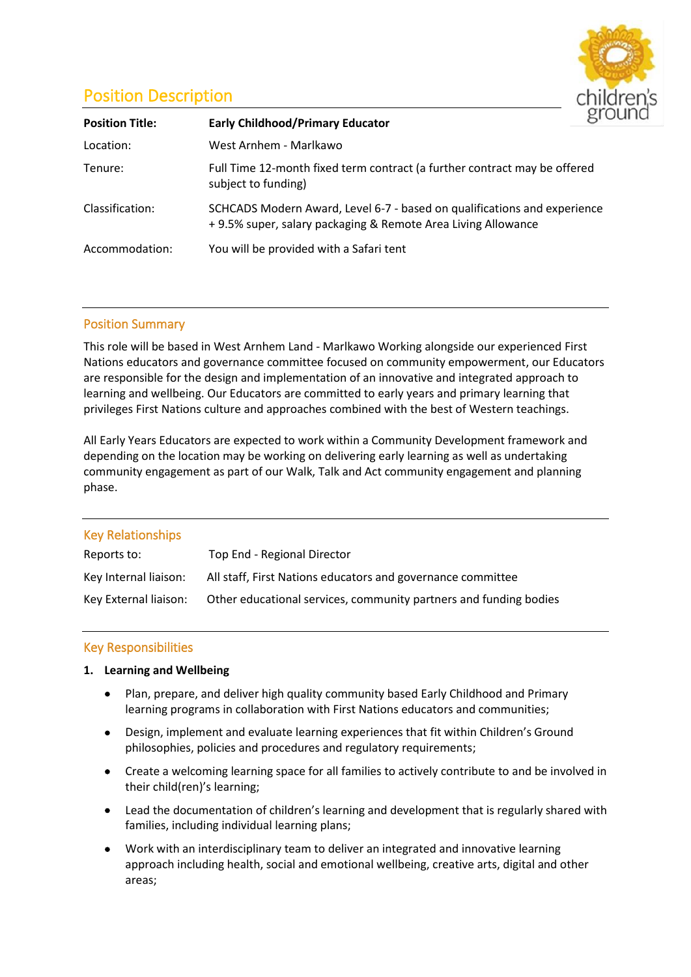# Position Description



| <b>Position Title:</b> | <b>Early Childhood/Primary Educator</b>                                                                                                  |  |
|------------------------|------------------------------------------------------------------------------------------------------------------------------------------|--|
| Location:              | West Arnhem - Marlkawo                                                                                                                   |  |
| Tenure:                | Full Time 12-month fixed term contract (a further contract may be offered<br>subject to funding)                                         |  |
| Classification:        | SCHCADS Modern Award, Level 6-7 - based on qualifications and experience<br>+9.5% super, salary packaging & Remote Area Living Allowance |  |
| Accommodation:         | You will be provided with a Safari tent                                                                                                  |  |

# Position Summary

This role will be based in West Arnhem Land - Marlkawo Working alongside our experienced First Nations educators and governance committee focused on community empowerment, our Educators are responsible for the design and implementation of an innovative and integrated approach to learning and wellbeing. Our Educators are committed to early years and primary learning that privileges First Nations culture and approaches combined with the best of Western teachings.

All Early Years Educators are expected to work within a Community Development framework and depending on the location may be working on delivering early learning as well as undertaking community engagement as part of our Walk, Talk and Act community engagement and planning phase.

| <b>Key Relationships</b> |                                                                   |
|--------------------------|-------------------------------------------------------------------|
| Reports to:              | Top End - Regional Director                                       |
| Key Internal liaison:    | All staff, First Nations educators and governance committee       |
| Key External liaison:    | Other educational services, community partners and funding bodies |

## Key Responsibilities

## **1. Learning and Wellbeing**

- Plan, prepare, and deliver high quality community based Early Childhood and Primary learning programs in collaboration with First Nations educators and communities;
- Design, implement and evaluate learning experiences that fit within Children's Ground philosophies, policies and procedures and regulatory requirements;
- Create a welcoming learning space for all families to actively contribute to and be involved in their child(ren)'s learning;
- Lead the documentation of children's learning and development that is regularly shared with families, including individual learning plans;
- Work with an interdisciplinary team to deliver an integrated and innovative learning approach including health, social and emotional wellbeing, creative arts, digital and other areas;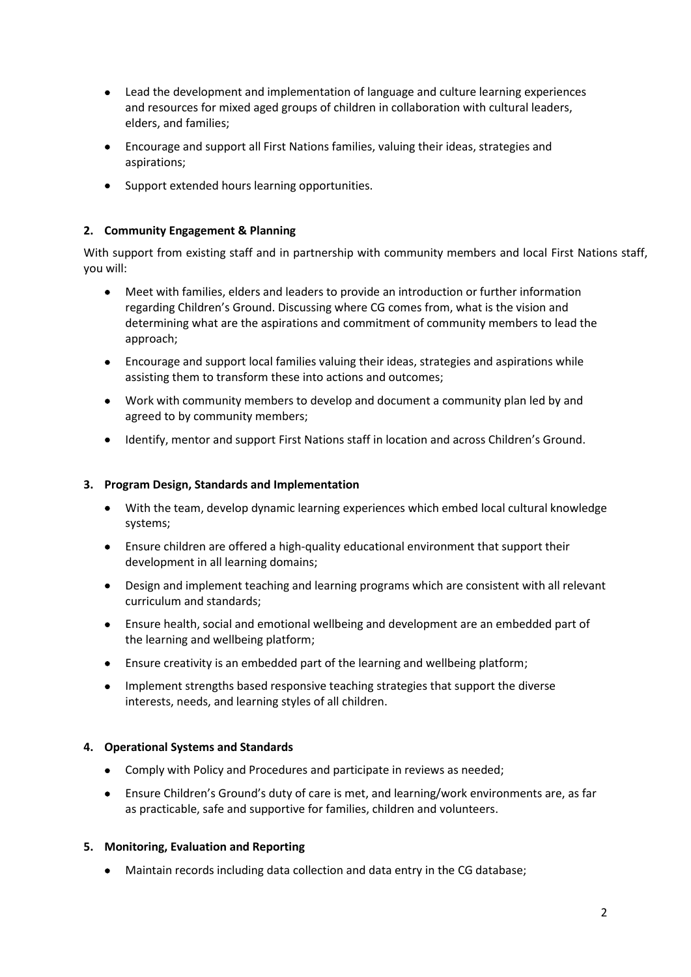- Lead the development and implementation of language and culture learning experiences and resources for mixed aged groups of children in collaboration with cultural leaders, elders, and families;
- Encourage and support all First Nations families, valuing their ideas, strategies and aspirations;
- Support extended hours learning opportunities.

# **2. Community Engagement & Planning**

With support from existing staff and in partnership with community members and local First Nations staff, you will:

- Meet with families, elders and leaders to provide an introduction or further information regarding Children's Ground. Discussing where CG comes from, what is the vision and determining what are the aspirations and commitment of community members to lead the approach;
- Encourage and support local families valuing their ideas, strategies and aspirations while assisting them to transform these into actions and outcomes;
- Work with community members to develop and document a community plan led by and agreed to by community members;
- Identify, mentor and support First Nations staff in location and across Children's Ground.

## **3. Program Design, Standards and Implementation**

- With the team, develop dynamic learning experiences which embed local cultural knowledge systems;
- Ensure children are offered a high-quality educational environment that support their development in all learning domains;
- Design and implement teaching and learning programs which are consistent with all relevant curriculum and standards;
- Ensure health, social and emotional wellbeing and development are an embedded part of the learning and wellbeing platform;
- Ensure creativity is an embedded part of the learning and wellbeing platform;
- Implement strengths based responsive teaching strategies that support the diverse interests, needs, and learning styles of all children.

## **4. Operational Systems and Standards**

- Comply with Policy and Procedures and participate in reviews as needed;
- Ensure Children's Ground's duty of care is met, and learning/work environments are, as far as practicable, safe and supportive for families, children and volunteers.

#### **5. Monitoring, Evaluation and Reporting**

• Maintain records including data collection and data entry in the CG database;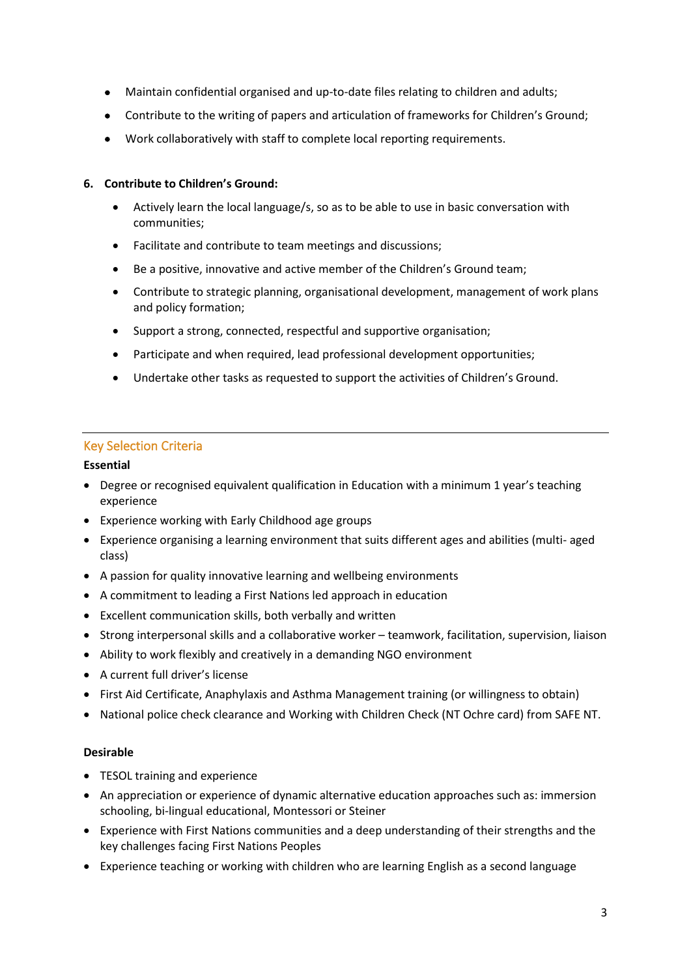- Maintain confidential organised and up-to-date files relating to children and adults;
- Contribute to the writing of papers and articulation of frameworks for Children's Ground;
- Work collaboratively with staff to complete local reporting requirements.

## **6. Contribute to Children's Ground:**

- Actively learn the local language/s, so as to be able to use in basic conversation with communities;
- Facilitate and contribute to team meetings and discussions;
- Be a positive, innovative and active member of the Children's Ground team;
- Contribute to strategic planning, organisational development, management of work plans and policy formation;
- Support a strong, connected, respectful and supportive organisation;
- Participate and when required, lead professional development opportunities;
- Undertake other tasks as requested to support the activities of Children's Ground.

## Key Selection Criteria

## **Essential**

- Degree or recognised equivalent qualification in Education with a minimum 1 year's teaching experience
- Experience working with Early Childhood age groups
- Experience organising a learning environment that suits different ages and abilities (multi- aged class)
- A passion for quality innovative learning and wellbeing environments
- A commitment to leading a First Nations led approach in education
- Excellent communication skills, both verbally and written
- Strong interpersonal skills and a collaborative worker teamwork, facilitation, supervision, liaison
- Ability to work flexibly and creatively in a demanding NGO environment
- A current full driver's license
- First Aid Certificate, Anaphylaxis and Asthma Management training (or willingness to obtain)
- National police check clearance and Working with Children Check (NT Ochre card) from SAFE NT.

#### **Desirable**

- TESOL training and experience
- An appreciation or experience of dynamic alternative education approaches such as: immersion schooling, bi-lingual educational, Montessori or Steiner
- Experience with First Nations communities and a deep understanding of their strengths and the key challenges facing First Nations Peoples
- Experience teaching or working with children who are learning English as a second language